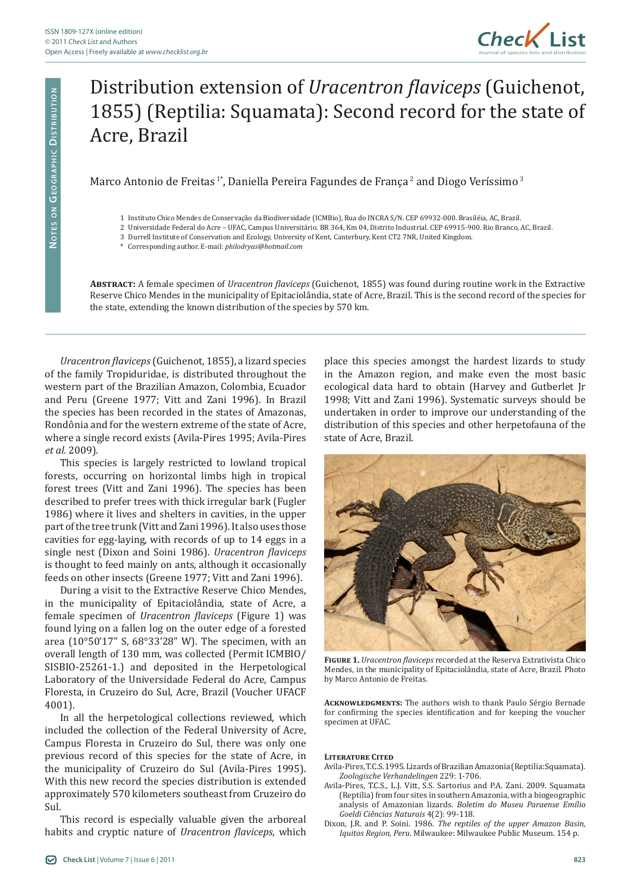

## Distribution extension of *Uracentron flaviceps* (Guichenot, 1855) (Reptilia: Squamata): Second record for the state of Acre, Brazil

Marco Antonio de Freitas<sup>1\*</sup>, Daniella Pereira Fagundes de Franca<sup>2</sup> and Diogo Veríssimo<sup>3</sup>

- 2 Universidade Federal do Acre UFAC, Campus Universitário. BR 364, Km 04, Distrito Industrial. CEP 69915-900. Rio Branco, AC, Brazil.
	- 3 Durrell Institute of Conservation and Ecology, University of Kent, Canterbury, Kent CT2 7NR, United Kingdom.
	- \* Corresponding author. E-mail: *philodryas@hotmail.com*

**Abstract:** A female specimen of *Uracentron flaviceps* (Guichenot, 1855) was found during routine work in the Extractive Reserve Chico Mendes in the municipality of Epitaciolândia, state of Acre, Brazil. This is the second record of the species for the state, extending the known distribution of the species by 570 km.

*Uracentron flaviceps* (Guichenot, 1855), a lizard species of the family Tropiduridae, is distributed throughout the western part of the Brazilian Amazon, Colombia, Ecuador and Peru (Greene 1977; Vitt and Zani 1996). In Brazil the species has been recorded in the states of Amazonas, Rondônia and for the western extreme of the state of Acre, where a single record exists (Avila-Pires 1995; Avila-Pires *et al.* 2009).

This species is largely restricted to lowland tropical forests, occurring on horizontal limbs high in tropical forest trees (Vitt and Zani 1996). The species has been described to prefer trees with thick irregular bark (Fugler 1986) where it lives and shelters in cavities, in the upper part of the tree trunk (Vitt and Zani 1996). It also uses those cavities for egg-laying, with records of up to 14 eggs in a single nest (Dixon and Soini 1986). *Uracentron flaviceps* is thought to feed mainly on ants, although it occasionally feeds on other insects (Greene 1977; Vitt and Zani 1996).

During a visit to the Extractive Reserve Chico Mendes, in the municipality of Epitaciolândia, state of Acre, a female specimen of *Uracentron flaviceps* (Figure 1) was found lying on a fallen log on the outer edge of a forested area (10°50'17" S, 68°33'28" W). The specimen, with an overall length of 130 mm, was collected (Permit ICMBIO/ SISBIO-25261-1.) and deposited in the Herpetological Laboratory of the Universidade Federal do Acre, Campus Floresta, in Cruzeiro do Sul, Acre, Brazil (Voucher UFACF 4001).

In all the herpetological collections reviewed, which included the collection of the Federal University of Acre, Campus Floresta in Cruzeiro do Sul, there was only one previous record of this species for the state of Acre, in the municipality of Cruzeiro do Sul (Avila-Pires 1995). With this new record the species distribution is extended approximately 570 kilometers southeast from Cruzeiro do Sul.

This record is especially valuable given the arboreal habits and cryptic nature of *Uracentron flaviceps,* which

place this species amongst the hardest lizards to study in the Amazon region, and make even the most basic ecological data hard to obtain (Harvey and Gutberlet Jr 1998; Vitt and Zani 1996). Systematic surveys should be undertaken in order to improve our understanding of the distribution of this species and other herpetofauna of the state of Acre, Brazil.



**Figure 1.** *Uracentron flaviceps* recorded at the Reserva Extrativista Chico Mendes, in the municipality of Epitaciolândia, state of Acre, Brazil. Photo by Marco Antonio de Freitas.

**Acknowledgments:** The authors wish to thank Paulo Sérgio Bernade for confirming the species identification and for keeping the voucher specimen at UFAC.

## **Literature Cited**

- Avila-Pires, T.C.S. 1995. Lizards of Brazilian Amazonia (Reptilia:Squamata). *Zoologische Verhandelingen* 229: 1-706.
- Avila-Pires, T.C.S., L.J. Vitt, S.S. Sartorius and P.A. Zani. 2009. Squamata (Reptilia) from four sites in southern Amazonia, with a biogeographic analysis of Amazonian lizards. *Boletim do Museu Paraense Emílio Goeldi Ciências Naturais* 4(2): 99-118.
- Dixon, J.R. and P. Soini. 1986. *The reptiles of the upper Amazon Basin, Iquitos Region, Peru*. Milwaukee: Milwaukee Public Museum. 154 p.

<sup>1</sup> Instituto Chico Mendes de Conservação da Biodiversidade (ICMBio), Rua do INCRA S/N. CEP 69932-000. Brasiléia, AC, Brazil.